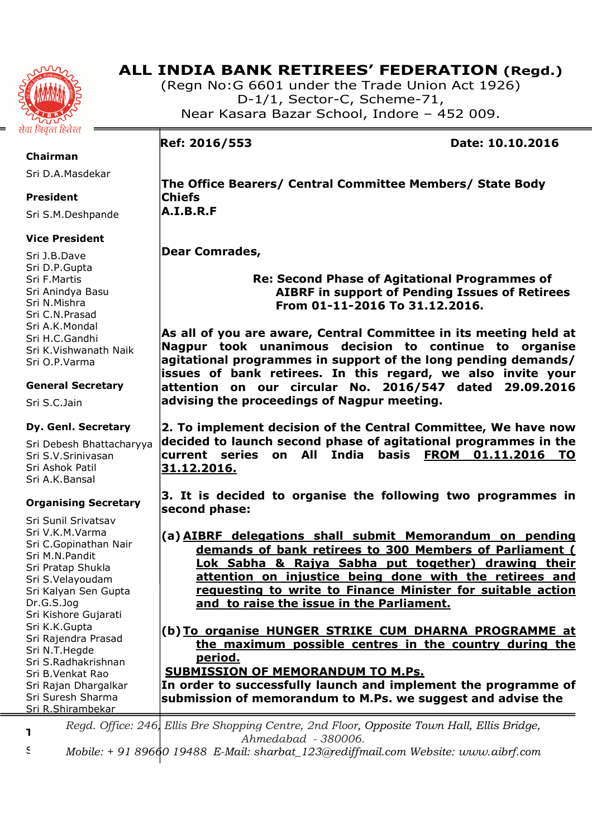

# **ALL INDIA BANK RETIREES' FEDERATION (Regd.)**

(Regn No:G 6601 under the Trade Union Act 1926) D-1/1, Sector-C, Scheme-71, Near Kasara Bazar School, Indore – 452 009.

**Ref: 2016/553 Date: 10.10.2016** 

# **Chairman**

Sri D.A.Masdekar

# **President**

Sri S.M.Deshpande

# **Vice President**

Sri J.B.Dave Sri D.P.Gupta Sri F.Martis Sri Anindya Basu Sri N.Mishra Sri C.N.Prasad Sri A.K.Mondal Sri H.C.Gandhi Sri K.Vishwanath Naik Sri O.P.Varma

## **General Secretary**

Sri S.C.Jain

# **Dy. Genl. Secretary**

Sri Debesh Bhattacharyya Sri S.V.Srinivasan Sri Ashok Patil Sri A.K.Bansal

## **Organising Secretary**

Sri Sunil Srivatsav Sri V.K.M.Varma Sri C.Gopinathan Nair Sri M.N.Pandit Sri Pratap Shukla Sri S.Velayoudam Sri Kalyan Sen Gupta Dr.G.S.Jog Sri Kishore Gujarati Sri K.K.Gupta Sri Rajendra Prasad Sri N.T.Hegde Sri S.Radhakrishnan Sri B.Venkat Rao Sri Rajan Dhargalkar Sri Suresh Sharma Sri R.Shirambekar

**The Office Bearers/ Central Committee Members/ State Body Chiefs A.I.B.R.F** 

# **Dear Comrades,**

 **Re: Second Phase of Agitational Programmes of AIBRF in support of Pending Issues of Retirees From 01-11-2016 To 31.12.2016.** 

**As all of you are aware, Central Committee in its meeting held at Nagpur took unanimous decision to continue to organise agitational programmes in support of the long pending demands/ issues of bank retirees. In this regard, we also invite your attention on our circular No. 2016/547 dated 29.09.2016 advising the proceedings of Nagpur meeting.** 

**2. To implement decision of the Central Committee, We have now decided to launch second phase of agitational programmes in the current series on All India basis FROM 01.11.2016 TO 31.12.2016.** 

**3. It is decided to organise the following two programmes in second phase:** 

**(a) AIBRF delegations shall submit Memorandum on pending demands of bank retirees to 300 Members of Parliament ( Lok Sabha & Rajya Sabha put together) drawing their attention on injustice being done with the retirees and requesting to write to Finance Minister for suitable action and to raise the issue in the Parliament.** 

**(b)To organise HUNGER STRIKE CUM DHARNA PROGRAMME at the maximum possible centres in the country during the period.** 

## **SUBMISSION OF MEMORANDUM TO M.Ps.**

**In order to successfully launch and implement the programme of submission of memorandum to M.Ps. we suggest and advise the** 

**Treasurer**  *Regd. Office: 246, Ellis Bre Shopping Centre, 2nd Floor, Opposite Town Hall, Ellis Bridge, Ahmedabad - 380006.* 

Sri M.S.Chourey *Mobile: + 91 89660 19488 E-Mail: sharbat\_123@rediffmail.com Website: www.aibrf.com*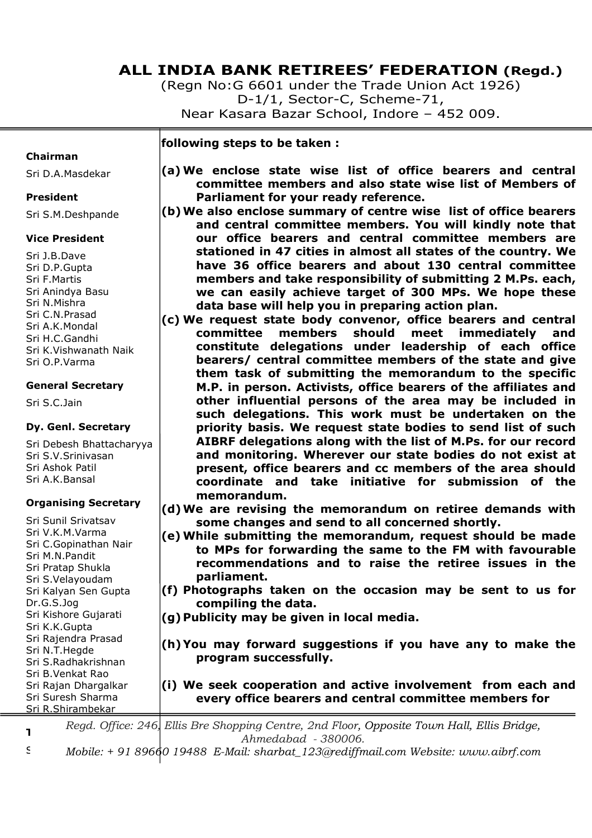# **ALL INDIA BANK RETIREES' FEDERATION (Regd.)**

(Regn No:G 6601 under the Trade Union Act 1926) D-1/1, Sector-C, Scheme-71, Near Kasara Bazar School, Indore – 452 009.

**following steps to be taken :** 

#### **Chairman**

Sri D.A.Masdekar

#### **President**

Sri S.M.Deshpande

## **Vice President**

Sri J.B.Dave Sri D.P.Gupta Sri F.Martis Sri Anindya Basu Sri N.Mishra Sri C.N.Prasad Sri A.K.Mondal Sri H.C.Gandhi Sri K.Vishwanath Naik Sri O.P.Varma

## **General Secretary**

Sri S.C.Jain

## **Dy. Genl. Secretary**

Sri Debesh Bhattacharyya Sri S.V.Srinivasan Sri Ashok Patil Sri A.K.Bansal

## **Organising Secretary**

Sri Sunil Srivatsav Sri V.K.M.Varma Sri C.Gopinathan Nair Sri M.N.Pandit Sri Pratap Shukla Sri S.Velayoudam Sri Kalyan Sen Gupta Dr.G.S.Jog Sri Kishore Gujarati Sri K.K.Gupta Sri Rajendra Prasad Sri N.T.Hegde Sri S.Radhakrishnan Sri B.Venkat Rao Sri Rajan Dhargalkar Sri Suresh Sharma Sri R.Shirambekar

- **(a) We enclose state wise list of office bearers and central committee members and also state wise list of Members of Parliament for your ready reference.**
- **(b)We also enclose summary of centre wise list of office bearers and central committee members. You will kindly note that our office bearers and central committee members are stationed in 47 cities in almost all states of the country. We have 36 office bearers and about 130 central committee members and take responsibility of submitting 2 M.Ps. each, we can easily achieve target of 300 MPs. We hope these data base will help you in preparing action plan.**
- **(c) We request state body convenor, office bearers and central committee members should meet immediately and constitute delegations under leadership of each office bearers/ central committee members of the state and give them task of submitting the memorandum to the specific M.P. in person. Activists, office bearers of the affiliates and other influential persons of the area may be included in such delegations. This work must be undertaken on the priority basis. We request state bodies to send list of such AIBRF delegations along with the list of M.Ps. for our record and monitoring. Wherever our state bodies do not exist at present, office bearers and cc members of the area should coordinate and take initiative for submission of the memorandum.**
- **(d)We are revising the memorandum on retiree demands with some changes and send to all concerned shortly.**
- **(e) While submitting the memorandum, request should be made to MPs for forwarding the same to the FM with favourable recommendations and to raise the retiree issues in the parliament.**
- **(f) Photographs taken on the occasion may be sent to us for compiling the data.**
- **(g) Publicity may be given in local media.**
- **(h) You may forward suggestions if you have any to make the program successfully.**
- **(i) We seek cooperation and active involvement from each and every office bearers and central committee members for**

**Treasurer**  *Regd. Office: 246, Ellis Bre Shopping Centre, 2nd Floor, Opposite Town Hall, Ellis Bridge, Ahmedabad - 380006.* 

Sri M.S.Chourey *Mobile: + 91 89660 19488 E-Mail: sharbat\_123@rediffmail.com Website: www.aibrf.com*